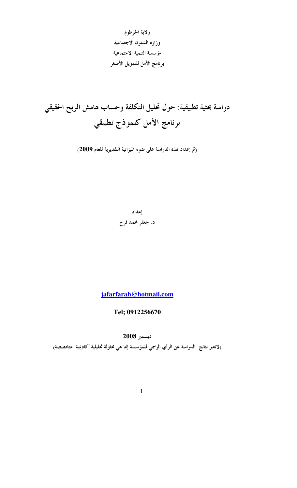ولاية الخرطوم وزارة الشئون الاجتماعية مؤسسة التنمية الاجتماعية برنامج الأمل للتمويل الأصغر

دراسة بحثية تطبيقية: حول تحليل التكلفة وحساب هامش الربح الحقيقي برنامج الأمل كنموذج تطبيقي

(تم إعداد هذه الدراسة على ضوء الميزانية التقديرية للعام 2009)

إعداد

د. جعفر محمد فرح

jafarfarah@hotmail.com

Tel: 0912256670

ديسمبر 2008

(لاتعبر نتائج الدراسة عن الرأي الرسمي للمؤسسة إنما هي محاولة تحليلية أكاديمية متخصصة)

 $\mathbf{1}$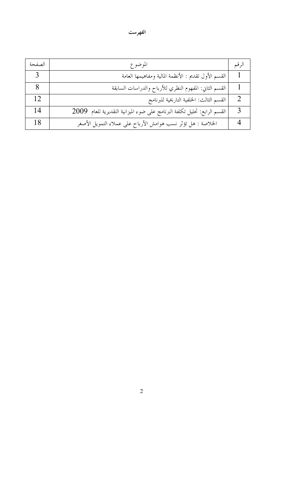## الفهرست

| الصفحة | الموضوع                                                                   | الر قىم |
|--------|---------------------------------------------------------------------------|---------|
|        | القسم الأول تقديم : الأنظمة المالية ومفاهيمها العامة                      |         |
|        | القسم الثاني: المفهوم النظري للأرباح والدراسات السابقة                    |         |
| 12     | القسم الثالث: الخلفية التاريخية للبرنامج                                  |         |
| 14     | القسم الرابع: تحليل تكلفة البرنامج على ضوء الميزانية التقديرية للعام 2009 |         |
| 18     | الخلاصة : هل تؤثَّر نسب هوامش الأرباح على عملاء التمويل الأصغر            |         |

 $\overline{c}$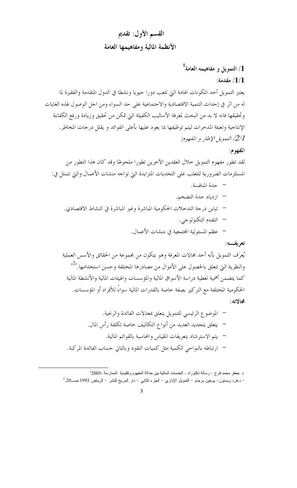## القسم الأول: تقديم الأنظمة المالية ومفاهيمها العامة

# $^1$ التمويل و مفاهيمه العامة  $/1$

### : مقدمة $/1/1$

يعتبر التمويل أحد المكونات الهامة التي تلعب دورا حيويا ونشطا في الدول المتقدمة والفقيرة لما له من اثر في إحداث التنمية الاقتصادية والاجتماعية على حد السواء ومن اجل الوصول لهذه الغايات وتحقيقها فانه لا بد من البحث لمعرفة الأساليب الكفيلة التي تمكن من تحقيق وزيادة ورفع الكفاءة الإنتاجية وتعبئة المدخرات ليتم توظيفها بما يعود عليها بأعلى الفوائد و يقلل درجات المخاطر. 2/1/ التمويل الإطار و المفهوم:

#### المفهوم:

لقد تطور مفهوم التمويل حلال العقدين الآخرين تطورا ملحوظا وقد كان هذا التطور من المستلزمات الضرورية للتغلب على التحديات المتزايدة التي تواحه منشات الأعمال والتي تتمثل في:

- حدة المنافسة. – ازدياد حدة التضخم. – تباين درجة التدخلات الحكومية المباشرة وغير المباشرة في النشاط الاقتصادي. – التقدم التكنولوجي.
	- عظم المسئولية المحتمعية في منشات الأعمال.

#### تعريفسه:

يُعرَف التمويل بأنه أحد مجالات المعرفة وهو يتكون من مجموعة من الحقائق والأسس العملية والنظرية التي تتعلق بالحصول على الأموال من مصادرها المختلفة وحسن استخدامها.<sup>(2)</sup> كما يتضمن أهمية تغطية دراسة الأسواق المالية والمؤسسات والهيئات المالية والأنشطة المالية الحكومية المختلفة مع التركيز بصفة خاصة بالقدرات المالية سواءً للأفراد أو المؤسسات. محالاته:

د جعفر محمد فرح – رسالة دكتوراه – الخدمات المالية بين حداثة المفهوم وتقليدية الممارسة -2005<sup>1</sup> - د.فرد وبستون– يوجين برجام – التمويل الإداري – الجزء الثاني – دار المريخ للنشر – الرياض 1993 صـــ20.<sup>2</sup>

 $\overline{3}$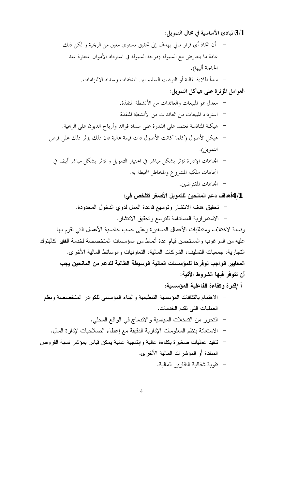3/1للبادئ الأساسية في مجال التمويل:

ونسبة لاختلاف ومتطلبات الأعمال الصغيرة وعلى حسب خاصبة الأعمال التي نقوم بها عليه من المرغوب والمستحسن قيام عدة أنماط من المؤسسات المتخصصة لخدمة الفقير كالبنوك النجارية، جمعيات التسليف، الشركات المالية، النعاونيات والوسائط المالية الأخرى. المعايير الواجب توفرها للمؤسسات المالية الوسيطة الطالبة للدعم من المانحين يجب أن تتوفَّر فيها الشروط الآتية:

أ /قدر ة وكفاءة الفاعلية المؤسسية:

- الاهتمام بالثقافات المؤسسية التنظيمية والبناء المؤسسي للكوادر المتخصصة ونظم العمليات التي تقدم الخدمات.
	- التحرر من التدخلات السياسية والاندماج في الواقع المحلي.
	- الاستعانة بنظم المعلومات الإدارية الدقيقة مع إعطاء الصلاحيات لإدارة المال.
- نتفيذ عمليات صغيرة بكفاءة عالية وإنتاجية عالية يمكن قياس بمؤشر نسبة القروض المنفذة أو المؤشرات المالية الأخرى.
	- تقوية شفافية التقارير المالية.
	- $\overline{4}$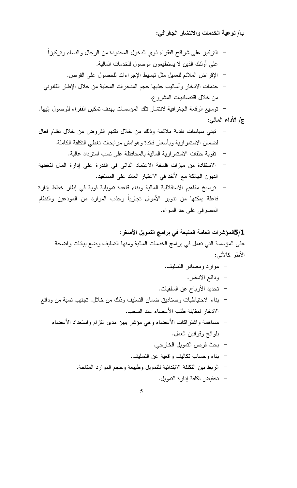ب/ نوعية الخدمات والانتشار الجغرافي:

المصرفي على حد السواء.

5/1المؤشرات العامة المتبعة في برامج التمويل الأصغر: على المؤسسة التي تعمل في برامج الخدمات المالية ومنها التسليف وضع بيانات واضحة الأطر كالأتي:

- موارد ومصادر التسليف.
	- ودائع الادخار .
- تحديد الأرباح عن السلفيات.
- بناء الاحتياطيات وصناديق ضمان التسليف وذلك من خلال. تجنيب نسبة من ودائع الادخار لمقابلة طلب الأعضاء عند السحب.
	- مساهمة واشتراكات الأعضاء وهي مؤشر يبين مدى النزام واستعداد الأعضاء بلوائح وقوانين العمل.
		- بحث فرص النمويل الخارجي.
		- بناء وحساب نكاليف واقعية عن النسليف.
		- الربط بين النكلفة الابندائية للتمويل وطبيعة وحجم الموارد المناحة.
			- تخفيض تكلفة إدارة التمويل.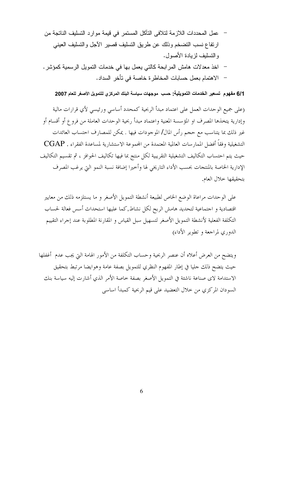- عمل المحددات اللازمة لتلافي التآكل المستمر في قيمة موارد التسليف الناتجة من ارتفاع نسب التضخم وذلك عن طريق التسليف قصبر الأجل والتسليف العيني والتسليف لزيادة الأصول.
- اخذ معدلات هامش المرابحة كالتي يعمل بها في خدمات النمويل الرسمية كمؤشر .
	- الاهتمام بعمل حسابات المخاطرة خاصة في تأخر السداد.

#### 6/1 مفهوم تسعير الخدمات التمويلية: حسب موجهات سياسة البنك المركزي للتمويل الأصغر للعام 2007

(على جميع الوحدات العمل على اعتماد مبدأ الربحية كمحدد أساسى ورئيسى لأي قرارات مالية وإدارية يتخذها المصرف او المؤسسة المعنية واعتماد مبدأ ربحية الوحدات العاملة من فروع أو أقسام أو غير ذلك بما يتناسب مع حجم رأس المال/ الموجودات فيها . يمكن للمصارف احتساب العائدات التشغيلية وفقاً أفضل الممارسات العالمية المعتمدة من المحموعة الاستشارية لمساعدة الفقراء . CGAP حيث يتم احتساب التكاليف التشغيلية التقريبية لكل منتج بما فيها تكاليف الحوافز ، ثم تقسيم التكاليف الإدارية الخاصة بالمنتحات بحسب الأداء التاريخي لها وأخيرا إضافة نسبة النمو التي يرغب المصرف بتحقيقها حلال العام.

على الوحدات مراعاة الوضع الخاص لطبيعة أنشطة التمويل الأصغر و ما يستلزمه ذلك من معايير اقتصادية و احتماعية لتحديد هامش الربح لكل نشاط,كما عليها استحداث أسس فعالة لحساب التكلفة الفعلية لأنشطة التمويل الأصغر لتسهيل سبل القياس و المقارنة المطلوبة عند إجراء التقييم الدوري لمراجعة وتطوير الأداء)

ويتضح من العرض أعلاه أن عنصر الربحية وحساب التكلفة من الأمور الهامة التي يجب عدم أغفلها حيث يتضح ذلك حليا في إطار المفهوم النظري للتمويل بصفة عامة وهوايضا مرتبط بتحقيق الاستدامة لاى صناعة ناشئة في التمويل الأصغر بصفة خاصة الأمر الذي أشارت إليه سياسة بنك السودان المركزي من حلال التعضيد على قيم الربحية كمبدأ اساسى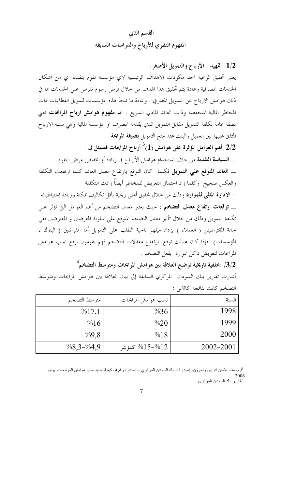## القسم الثاني المفهوم النظري للأرباح والدراسات السابقة

1/2: تمهيد : الأرباح والتمويل الأصغر: يعتبر تحقيق الربحية احد مكونات الاهداف الرئيسية لاي مؤسسة تقوم بتقديم اي من اشكال الخدمات المصرفية وعادة يتم تحقيق هذا الهدف من حلال فرض رسوم تفرض على الخدمات بما في ذلك هوامش الارباح عن التمويل المصرفي . وعادة ما تلجأ هذه المؤسسات لتمويل القطاعات ذات المخاطر المالية المنخفضة وذات العائد المادي السريع . **اما مفهوم هوامش ارباح المرابحات** تعني بصفة عامة تكلفة التمويل مقابل التمويل الذي يقدمه المصرف او المؤسسة المالية وهي نسبة الارباح المتفق عليها بين العميل والبنك عند منح التمويل بصيغة المرابحة . أهم العوامل المؤثرة على هوامش (1)<sup>3</sup> أرباح المرابحات فتتمثل في  $2/2$ 

ـــ ا**لسياسة التقدية** من حلال استخدام هوامش الأرباح في زيادة أو تخفيض عرض النقود ـــ ا**لعائد المتوقع علي التمويل** فكلما كان التوقع بارتفاع معدل العائد كلما ارتفعت التكلفة والعكس صحيح وكلما زاد احتمال التعريض للمخاطر أيضاً زادت التكلفة

– الادارة المثلمي للموارد وذلك من حلال تحقيق أعلى ربحية بأقل تكاليف ممكنة وزيادة احتياطياته ــــ **توقعات ارتفاع معدل التضخم** : حيث يعتبر معدل التضخم من أهم العوامل التي تؤثر علي تكلفة التمويل وذلك من حلال تأثير معدل التضخم المتوقع علي سلوك المقرضين و المقترضين ففي حالة المقترضينن ( العملاء ) يزداد ميلهم ناحية الطلب علي التمويل أما المفرضين ( البنوك ، المؤسسات) فإذا كان هنالك توقع بارتفاع معدلات التضخم فهم يقومون برفع نسب هوامش المرابحات لتعويض تاكل الموارد بفعل التضخم .

 $^4$ جلفية تاريخية توضح العلاقة بين هوامش المرابحات ومتوسط التضخم  $\left| \cdot \right\rangle$ أشارت تقارير بنك السودان المركزي السابقة إلى بيان العلاقة بين هوامش المرابحات ومتوسط التضخم كانت نتائجه كالاتي :

| متوسط التضخم  | نسب هوامش المرابحات                 | السنة     |
|---------------|-------------------------------------|-----------|
| %17,1         | $\%36$                              | 1998      |
| %16           | %20                                 | 1999      |
| %9,8          | %18                                 | 2000      |
| $\%8,3-\%4,9$ | كمؤ شر $~\%15\text{--}0$ كمؤ شر $~$ | 2002-2001 |

<sup>3</sup>أ. يوسف عثمان ادريس وآخرون- إصدارات بنك السودان المركزي ــ إصدارة رقم 9- كيفية تحديد نسب هوامش المرابحات يونيو <sup>4</sup>تقارير بنك السودان المركزي

 $\overline{7}$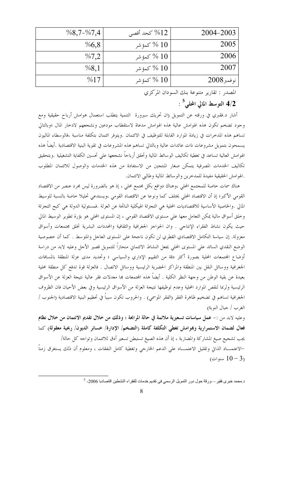| $\%8,7-\%7,4$ | كحد أقصى $\%12$      | 2004-2003       |
|---------------|----------------------|-----------------|
| %6,8          | كىمۇ شىر $\%~10$     | 2005            |
| %7,2          | كىمۇ شىر $\%~10$     | 2006            |
| %8,1          | كىمۇ شىر $~\%$ $~10$ | 2007            |
| %17           | كىمۇ شىر $~\%$ $~10$ | $2008$ نو فىمبر |

المصدر : تقارير متنوعة بنك السودان المركزي

التوسط المالي المحلبي $^{\rm c}$  :

أشار د.فقبري في ورقته عن التمويل (ان تحريك سيرورة التنمية يتطلب استعمال هوامش أرباح حقيقية ومع وجود تضخم تكون هذه الهوامش عالية هذه الهوامش مدعاة لاستقطاب مودعين ونشجعهم لادخار المال ؛وبالتالي تساهم هذه المدخرات في زيادة الموارد القابلة للتوظيف في الائتمان .ويتوفر ائتمان بتكلفة مناسبة ،فالوسطاء الماليون يسمحون بتمويل مشروعات ذات عائدات عالية وبالتالي تساهم هذه المشروعات في تقوية البنية الاقتصادية .أيضاً هذه الهوامش العالية تساعد في تغطية تكاليف الوسائط المالية وتحقق أرباحاً نشحعها على تحسين الكفاية التشغيلية .وبتحقيق تكاليف الخدمات المصرفية يتمكن صغار المنتجين من الاستفادة من هذه الخدمات والوصول للائتمان المطلوب .الهوامش الحقيقية مفيدة للمدخرين والوسائط المالية وطالبي الائتمان.

هناك سمات خاصة للمجتمع المحلي ،وهناك دوافع بكل مجتمع محلي ، إذ هو بالضرورة ليس مجرد عنصر من الاقتصاد القومي الأكبر؛ إذ أن الاقتصاد المحلي يختلف كما ونوعا عن الاقتصاد القومي ،ويستدعي تحليلا خاصة بالنسبة للوسيط المالي .والخاصية الأساسية للاقتصاديات المحلية هي التجزئة الهيكلية الناتجة عن العزلة .فمسئولية الدولة هي كبح التجزئة وخلق أسواق مالية يمكن التعامل معها على مستوى الاقتصاد القومي ، إن المستوى المحلي هو بؤرة تطوير الوسيط المالي حيث يكون نشاط الفقراء الإنتاجي . وان الحواجز الجغرافية والثقافية والمحددات البشرية تخلق محتمعات وأسواق معزولة. إن سياسة التكامل الاقتصادي القطري لن تكون ناححة على المستوى العاجل والمتوسط . كما أن خصوصية الوضع النقدي السائد علي المستوى المحلي يجعل النشاط الائتماني منحازاً للتمويل قصير الأحل وعليه لابد من دراسة أوضاع المحتمعات المحلية بصورة أكثر دقة من التقييم الإداري والسياسي ؛ وتحديد مدى عزلة المنطقة بالمسافات الجغرافية ووسائل النقل بين المنطقة والمراكز الحضرية الرئيسية ووسائل الاتصال . فالعزلة قوة تدفع كل منطقة محلية بعيدة عن بقية الوطن من وجهة النظر الكلية . أيضاً هذه المحتمعات بما معدلات فقر عالية نتيجة العزلة عن الأسواق الرئيسية ولربما لنقص الموارد المحلية وعدم توظيفها نتيجة العزلة من الأسواق الرئيسية وفي بعض الأحيان فان الظروف الجغرافية تساهم في تضخيم ظاهرة الفقر (الفقر الموسمي) . والحروب تكون سبباً في تحطيم البنية الاقتصادية (الجنوب / الغرب / جبال النوبة)

وعليه لابد من :- عمل سياسات تسعيرية ملائمة في حالة المرابحة ؛ وذلك من خلال تقديم الائتمان من خلال نظام فعال لضمان الاستمرارية وبموامش تغطي التكلفة كاملة رالتضخم/ الإدارة/ خسائر الديون/ ربحية معقولة) كما يجب تشجيع صيغ المشاركة والمضاربة ، إذ أن هذه الصيغ تستبطن تسعير أدق للائتمان وتواحه كل حالة/ –الاعتمـــاد الذاتي وتقليل الاعتمــــاد على الدعم الخارجي وتغطية كامل النفقات ، ومعلوم أن ذلك يستغرق زمناً سنوات)  $10-3$ 

د محمد خبري فقير ـــورقة حول دور التمويل الرسمي في تقديم خدمات للفقراء النشطين اقاصادبا 2006- <sup>5</sup>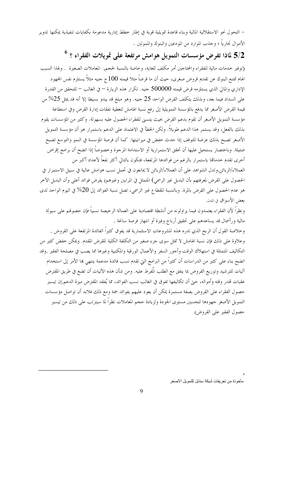– التحول نحو الاستقلالية المالية وبناء قاعدة تمويلية قوية في إطار خطط إدارية مدعومة بكفايات تنفيذية يمكنها تدوير الأموال تجارياً ؛ وحذب الموارد من المودعين والبنوك والممولين .

 $^6$  ؟ لماذا تفرض مؤسسات التمويل هوامش مرتفعة على تمويلات الفقراء ؟  $^6$ 

(توفير خدمات مالية للفقراء والمحتاجين أمر مكلف للغاية، وخاصة بالنسبة لحجم, المعاملات الصغيرة . ولهذا السبب الهام تمتنع البنوك عن تقديم قروض صغرى، حيث أن ما قرضاً مثلا قيمته 100 ج حنيه مثلاً يستلزم نفس المحهود الإداري والمالي الذي يستلزمه قرض قيمته 500000 جنيه. تكرار هذه الزيارة — في الغالب — للتحقق من القدرة على السداد فيما بعد، وبذلك يتكلف القرض الواحد 25 حنيه. وهو مبلغ قد يبدو بسيطا إلا أنه قد يمثل 25% من قيمة القرض الأصغر مما يدفع بالمؤسسة التمويلية إلى رفع نسبة الهامش لتغطية نفقات إدارة القرض وفي استطاعة مؤسسة التمويل الأصغر أن تقوم بدعم القرض بحيث يتسنى للفقراء الحصول عليه بسهولة. وكثير من المؤسسات يقوم بذلك بالفعل، وقد يستمر هذا الدعم طويلاً. ولكن الخطأ في الاعتماد على الدعم باستمرار هو أن مؤسسة التمويل الأصغر تصبح بذلك عرضة للتوقف إذا حدث خفض في ميزانيتها. كما أن فرصة المؤسسة في النمو والتوسع تصبح ضئيلة. وباحتصار يستحيل عليها أن تحقق الاستمرارية أو الاستدامة المرحوة وخصوصاً إذا اتضح أن برامج إقراض أخرى تقدم خدمالها باستمرار بالرغم من فوائدها المرتفعة، فتكون بالتالي أكثر نفعاً لأعداد أكبر من

العملاء/الزبائن.وتدل الشواهد على أن العملاء/الزبائن لا يمانعون في تحمل نسب هوامش عالية في سبيل الاستمرار في الحصول على القرض لمعرفتهم بأن البديل غير الرسمي) المتمثل في المرابين وغيرهم) يفرض فوائد أعلى وأن البديل الآخر هو عدم الحصول على القرض بالمرة. وبالنسبة للقطاع غير الرسمي، تصل نسبة الفوائد إلى 20% في اليوم الواحد لدى بعض الأسواق في المدن.

ونظراً لأن الفقراء يعتمدون فيما يزاولونه من أنشطة اقتصادية على العمالة الرخيصة نسبياً فإن حصولهم على سيولة مالية ورأسمال قد يساعدهم على تحقيق أرباح وفيرة أو انتهاز فرصة سانحة .

وخلاصة القول أن الربح الذي تدره هذه المشروعات الاستثمارية قد يفوق كثيراً الفائدة المرتفعة على القروض . وعلاوة على ذلك فإن نسبة الهامش لا تمثل سوى جزء صغير من التكلفة الكلية للقرض المقدم. ويمكن خفض كثير من التكاليف المتمثلة في استهلاك الوقت وأحور السفر والأعمال الورقية والمكتبية وغيرها مما يصب في مصلحة الفقير .وقد اتضح بناء على كثير من الدراسات أن كثيراً من البرامج التي تقدم نسب فائدة مدعمة ينتهي بما الأمر إلى استخدام آليات للترشيد وتوزيع القروض بما يتفق مع الطلب المُفرط عليه. ومن شأن هذه الآليات أن تضع في طريق المقترض عقبات تمدر وقته وأمواله، حتى أن تكاليفها تفوق في الغالب نسب الفوائد، مما يُفقد المقترض ميزة الدعم.إن تيسير حصول الفقراء على القروض بصفة مستمرة يمكن أن يعود عليهم بفوائد جمة ومع ذلك فلابد أن تواصل مؤسسات التمويل الأصغر حهودها لتحسين مستوى الجودة ولزيادة حجم المعاملات نظراً لما سيترتب على ذلك من تيسير حصول الفقير على القروض)

مأخو ذة من تعر يفات شبكة سنابل للتمو يل الأصـغر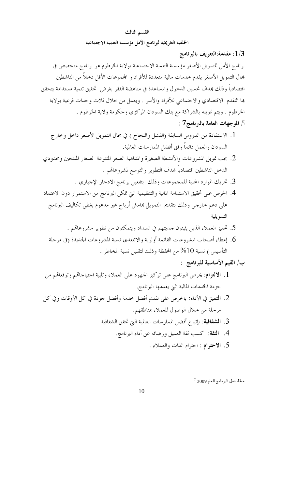#### القسم الثالث

الخلفية التاريخية لبرنامج الأمل مؤسسة التنمية الاجتماعية

قلدمة:التعريف بالبرنامج: $1/3$ برنامج الأمل للتمويل الأصغر مؤسسة التنمية الاحتماعية بولاية الخرطوم هو برنامج متخصص في مجال التمويل الأصغر يقدم حدمات مالية متعددة للأفراد و المحموعات الأقل دحلاً من الناشطين اقتصادياً وذلك هدف تحسين الدحول والمساعدة في مناهضة الفقر بغرض تحقيق تنمية مستدامة يتحقق ها التقدم الاقتصادي والاحتماعي للأفراد والأسر . ويعمل من حلال ثلاث وحدات فرعية بولاية الخرطوم . ويتم تمويله بالشراكة مع بنك السودان المركزي وحكومة ولاية الخرطوم . أ/ الموجهات العامة بالبرنامج7 :

- 1. الاستفادة من الدروس السابقة (الفشل والنجاح ) في مجال التمويل الأصغر داخل وخارج السودان والعمل دائماً وفق أفضل الممارسات العالمية.
- 2. يجب تمويل المشروعات والأنشطة الصغيرة والمتناهية الصغر المتنوعة كصغار المنتجين ومحدودي الدخل الناشطين اقتصادياً بمدف التطوير والتوسع لمشروعاقم .
	- 3. تحريك الموارد المحلية للمجموعات وذلك بتفعيل برنامج الادخار الإحباري .
- 4. الحرص على تحقيق الاستدامة المالية والتنظيمية التي تمكن البرنامج من الاستمرار دون الاعتماد على دعم خارجي وذلك بتقديم التمويل بمامش أرباح غير مدعوم يغطي تكاليف البرنامج التمو يلية .
	- 5. تحفيز العملاء الذين يثبتون حديتهم في السداد ويتمكنون من تطوير مشروعاقم .
	- 6. إعطاء أصحاب المشروعات القائمة أولوية والاتتعدي نسبة المشروعات الجديدة (في مرحلة . التأسيس ) نسبة 10% من المحفظة وذلك لتقليل نسبة المخاطر ا
		- ب/ القيم الأساسية للبرنامج :
- 1. الالتزام: يحرص البرنامج على تركيز الجهود على العملاء وتلبية احتياحاتمم وتوقعاتمم من حزمة الخدمات المالية التي يقدمها البرنامج.
- 2. التميز في الأداء: بالحرص على تقديم أفضل حدمة وأفضل حودة في كل الأوقات وفي كل مرحلة من خلال الوصول للعملاء بمناطقهم.
	- 3. ا**لشفافية**: بإتباع أفضل الممارسات العالمية التي تحقق الشفافية
		- 4. الثقة: كسب ثقة العميل ورضائه عن أداء البرنامج.
			- 5. الاحتوام : احترام الذات والعملاء .

خطة عمل البرنامج للعام 2009 7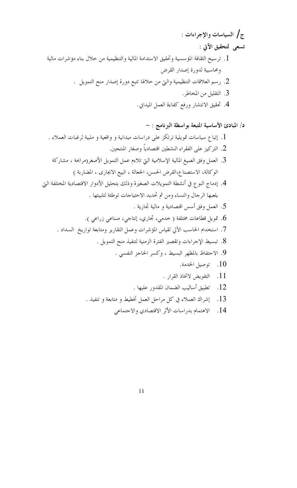- 13. إشراك العملاء في كل مراحل العمل تخطيط و متابعة و تنفيذ .
	- 14. الاهتمام بدراسات الأثر الاقتصادي والاحتماعي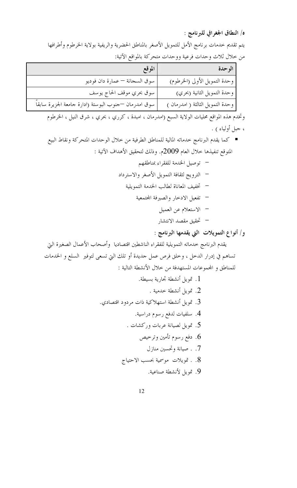ه/ النطاق الجغرافي للبرنامج :

يتم تقديم حدمات برنامج الأمل للتمويل الأصغر بالمناطق الحضرية والريفية بولاية الخرطوم وأطرافها من حلال ثلاث وحدات فرعية ووحدات متحركة بالمواقع الآتية:

| الموقع                                                | الوحدة                           |
|-------------------------------------------------------|----------------------------------|
| سوق السجانة — عمارة دان فوديو                         | وحدة التمويل الأولى (الخرطوم)    |
| سوق بحري موقف الحاج يوسف                              | وحدة التمويل الثانية (بحري)      |
| سوق امدرمان —حنوب البوستة (ادارة جامعة الجزيرة سابقاً | وحدة التمويل الثالثة ( امدرمان ) |

وتخدم هذه المواقع محليات الولاية السبع (امدرمان ، امبدة ، كرري ، بحري ، شرق النيل ، الخرطوم ، حبل أولياء ) .

■ كما يقدم البرنامج حدماته المالية للمناطق الطرفية من حلال الوحدات المتحركة ونقاط البيع المتوقع تنفيذها حلال العام 2009م. وذلك لتحقيق الأهداف الآتية :

و/ أنواع التمويلات التي يقدمها البرنامج :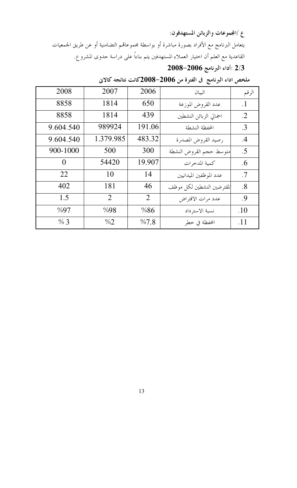ع /المجموعات والزبائن المستهدفون:

يتعامل البرنامج مع الأفراد بصورة مباشرة أو بواسطة مجموعاقمم التضامنية أو عن طريق الجمعيات القاعدية مع العلم أن اختيار العملاء المستهدفين يتم بناءاً على دراسة جدوى المشروع.

2/3 :أداء البرنامج 2006–2008

| 2008         | 2007      | 2006   | البيان                    | الرقم     |
|--------------|-----------|--------|---------------------------|-----------|
| 8858         | 1814      | 650    | عدد القروض الموزعة        | $\cdot$ 1 |
| 8858         | 1814      | 439    | اجمالي الزبائن النشطين    | .2        |
| 9.604.540    | 989924    | 191.06 | المحفظة النشطة            | .3        |
| 9.604.540    | 1.379.985 | 483.32 | رصيد القروض المصدرة       | .4        |
| $900 - 1000$ | 500       | 300    | متوسط حجم القروض النشطة   | .5        |
| 0            | 54420     | 19.907 | كمية المدخرات             | .6        |
| 22           | 10        | 14     | عدد الموظفين الميدانيين   | .7        |
| 402          | 181       | 46     | لمقترضين النشطين لكل موظف | .8        |
| 1.5          | 2         | 2      | عدد مرات الاقتراض         | .9        |
| %97          | %98       | %86    | نسبة الاسترداد            | .10       |
| % 3          | $\%2$     | %7.8   | المحفظة في خطر            | .11       |

## ملخص اداء البرنامج في الفترة من 2006–2008كانت نتائجه كالاني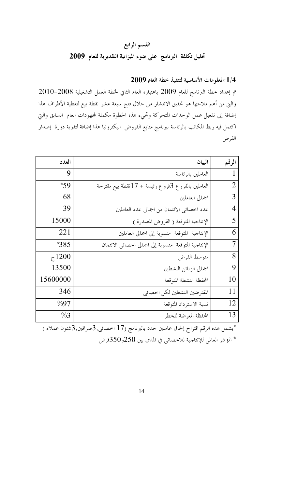## القسم الرابع تحليل تكلفة البرنامج على ضوء الميزانية التقديرية للعام 2009

## 1/4:المعلومات الأساسية لتنفيذ خطة العام 2009

تم إعداد خطة البرنامج للعام 2009 باعتباره العام الثاني لخطة العمل التشغيلية 2008–2010 والتي من أهم ملاحها هو تحقيق الانتشار من حلال فتح سبعة عشر نقطة بيع لتغطية الأطراف هذا إضافة إلى تفعيل عمل الوحدات المتحركة وتجيء هذه الخطوة مكملة لمحهودات العام السابق والتي اكتمل فيه ربط المكاتب بالرئاسة ببرنامج متابع القروض اليكترونيا هذا إضافة لتقوية دورة إصدار القرض

| العدد    | البيان                                                | الرقم          |
|----------|-------------------------------------------------------|----------------|
| 9        | العاملين بالرئاسة                                     | $\mathbf{1}$   |
| *59      | العاملين بالفروع 3فروع رئيسة + 17نقطة بيع مقترحة      | $\overline{2}$ |
| 68       | اجمالي العاملين                                       | 3              |
| 39       | عدد اخصائي الائتمان من اجمالي عدد العاملين            | 4              |
| 15000    | الإنتاجية المتوقعة ( القروض المصدرة )                 | 5              |
| 221      | الإنتاجية المتوقعة منسوبة إلى اجمالي العاملين         | 6              |
| $*385$   | الإنتاجية المتوقعة منسوبة إلى اجمالي اخصائبي الائتمان | 7              |
| 71200    | متوسط القرض                                           | 8              |
| 13500    | اجمالي الزبائن النشطين                                | 9              |
| 15600000 | المحفظة النشطة المتوقعة                               | 10             |
| 346      | المقترضين النشطين لكل اخصائي                          | 11             |
| %97      | نسبة الاسترداد المتوقعة                               | 12             |
| %3       | المحفظة المعرضة للخطر                                 | 13             |

يشمل هذه الرقم اقتراح إلحاق عاملين حدد بالبرنامج (17 اخصائي,3صرافين,3شئون عملاء) $^*$ المؤشر العالمي للإنتاجية للاخصائي في المدى بين 250و350قرض \*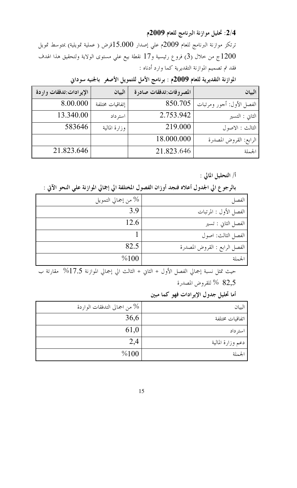2/4: تحليل موازنة البرنامج للعام 2009م

ترتكز موازنة البرنامج للعام 2009م علي إصدار 15.000قرض ( عملية تمويلية) بمتوسط تمويل ج من خلال (3) فروع رئيسية و17 نقطة بيع علي مستوى الولاية ولتحقيق هذا الهدف  $1200\,$ فقد تم تصميم الموازنة التقديرية كما وارد أدناه :

المصروفات:تدفقات صادرة |البيان الإيرادات:تدفقات واردة البيان الفصل الأول: أحور ومرتبات | 850.705 8.00.000 إتفاقيات مختلفة 13.340.00 2.753.942 استرداد الثاني : التسير الثالث : الاصول 583646 219.000 وزارة المالية 18.000.000 الرابع: القروض المصدرة 21.823.646 21.823.646 الجملة

الموازنة التقديرية للعام 2009م : برنامج الأمل للتمويل الأصغر بالجنيه سوداني

أ/ التحليل المالي :

بالرجوع الى الجدول أعلاه فنجد أوزان الفصول المختلفة الى إجمالي الموازنة على النحو الآتى :

| % من إجمالي التمويل | الفصل                         |
|---------------------|-------------------------------|
| 3.9                 | الفصل الأول : المرتبات        |
| 12.6                | الفصل الثاني : تسير           |
|                     | الفصل الثالث: اصول            |
| 82.5                | الفصل الرابع : القروض المصدرة |
| %100                |                               |

حيث تمثل نسبة إجمالي الفصل الأول + الثاني + الثالث الي إجمالي الموازنة 17.5% مقارتة ب 82,5 % للقروض المصدرة

أما تحليل جدول الإيرادات فهو كما مبين

| من اجمالي التدفقات الواردة $\%$ | البيان            |
|---------------------------------|-------------------|
| 36,6                            | اتفاقيات مختلفة   |
| 61,0                            | استرداد           |
| 2,4                             | دعم وزارة المالية |
| %100                            | لجملة             |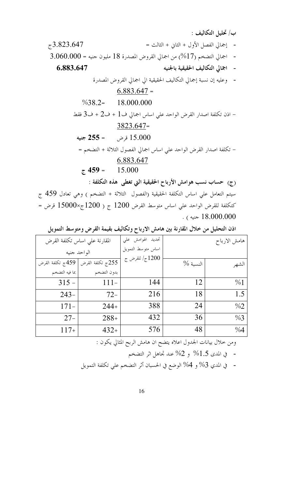ب/تحليل التكاليف : - إجمالي الفصل الأول + الثاني + الثالث =  $73.823.647$ - اجمالي التضخم (17%) من اجمالي القروض المصدرة 18 مليون جنيه = 3.060.000 - اجمالي التكاليف الحقيقية بالجنيه 6.883.647 - وعليه إن نسبة إجمالي التكاليف الحقيقية الي اجمالي القروض المصدرة  $6.883.647 =$  $\%38.2=$ 18.000.000 - اذن تكلفة اصدار القرض الواحد على اساس اجمالي ف $1+2$  ف $2+3$  فقط  $3823.647=$ 15.000 قرض جنيه = 255 جنيه – تكلفة اصدار القرض الواحد على اساس اجمالي الفصول الثلاثة + التضخم = 6.883.647  $\tau$  459 = 15.000 (ج) حساب نسب هوامش الأرباح الحقيقية التي تغطي هذه التكلفة : سيتم التعامل علي اساس التكلفة الحقيقية (الفصول الثلاثة + التضخم ) وهي تعادل 459 ج

= كتكلفة للقرض الواحد علي اساس متوسط القرض 1200 ج ( 1200ج×15000 قرض = . ( 18.000.000 جنيه ) .

| هامش الارباح           | تحديد الهوامش علي  | المقارنة على اساس تكلفة القرض       |                |
|------------------------|--------------------|-------------------------------------|----------------|
|                        | اساس متوسط التمويل |                                     | الواحد جنيه    |
| $\%$ النسبة 1<br>الشهر | 1200ج/ للقرض ج     | 255ج تكلفة القرض   459ج تكلفة القرض |                |
|                        |                    | بدون التضخم                         | بما فيه التضخم |
| 12<br>$\frac{9}{6}$ 1  | 144                | $111-$                              | $315 -$        |
| 1.5<br>18              | 216                | $72-$                               | $243-$         |
| 24<br>$\%2$            | 388                | $244+$                              | $171-$         |
| 36<br>%3               | 432                | $288+$                              | $27 -$         |
| 48<br>%4               | 576                | $432+$                              | $117+$         |

اذن التحليل من خلال المقارنة بين هامش الارباح وتكاليف بقيمة القرض ومتوسط التمويل

ومن خلال بيانات الجدول اعلاه يتضح ان هامش الربح المثالي يكون :

- 
- - 16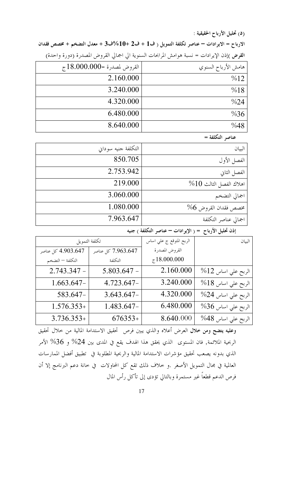(د) تحليل الأرباح الحقيقية :

الارباح = الايرادات – عناصر تكلفة التمويل ( ف1 + ف2 +10%ف3 + معدل التضخم + مخصص فقدان

القرض )إذن الإيرادات = نسبة هوامش المرابحات السنوية الي اجمالي القروض المصدرة (دورة واحدة)

| هامش الأرباح السنوي | $\tau$ القروض لمصدرة =000.000 $\tau$ |
|---------------------|--------------------------------------|
| %12                 | 2.160.000                            |
| %18                 | 3.240.000                            |
| %24                 | 4.320.000                            |
| $\%36$              | 6.480.000                            |
| %48                 | 8.640.000                            |

عناصر التكلفة =

| البيان                    | التكلفة جنيه سوداين |
|---------------------------|---------------------|
| الفصل الأول               | 850.705             |
| الفصل الثاني              | 2.753.942           |
| $\%10$ اهلاك الفصل الثالث | 219,000             |
| اجمالي التضخم             | 3.060.000           |
| مخصص فقدان القروض 6%      | 1.080.000           |
| اجمالي عناصر التكلفة      | 7.963.647           |

إذن تحليل الأرباح = ( الإيرادات – عناصر التكلفة ) جنيه

| البيان                  | الربح المتوقع ج علي اساس | تكلفة التمويل                            |                  |
|-------------------------|--------------------------|------------------------------------------|------------------|
|                         | القروض المصدرة           | 4.903.647 كل عناصر<br>7.963.647 كل عناصر |                  |
|                         | 718.000.000              | التكلفة                                  | التكلفة — التضخم |
| $%12$ الربح على اساس 12 | 2.160.000                | $5.803.647 -$                            | $2.743.347 -$    |
| $%18$ الربح علي اساس 18 | 3.240.000                | 4.723.647-                               | $1.663.647-$     |
| الربح علي اساس 24%      | 4.320.000                | $3.643.647-$                             | 583.647-         |
| $%36$ الربح علي اساس 36 | 6.480.000                | 1.483.647-                               | $1.576.353+$     |
| الربح على اساس 48%      | 8.640.000                | $676353+$                                | $3.736.353+$     |

وعليه يتضح ومن خلال العرض أعلاه والذي يبين فرص تحقيق الاستدامة المالية من خلال تحقيق الربحية الملائمة, فان المستوى الذي يحقق هذا الهدف يقع في المدى بين 24% و 36% الأمر الذي بدونه يصعب تحقيق مؤشرات الاستدامة المالية والربحية المطلوبة في تطبيق أفضل الممارسات العالمية في مجال التمويل الأصغر .و خلاف ذلك تقع كل المحاولات في خانة دعم البرنامج إلا أن فرص الدعم قطعاً غير مستمرة وبالتالي تؤدى إلى تأكل رأس المال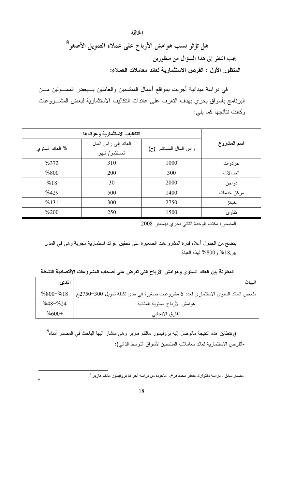هل تؤثر نسب هوامش الأرباح على عملاء التمويل الأصغر<sup>8</sup> بجب النظر إلى هذا السؤال من منظورين : المنظور الأول : الفرص الاستثمارية لعائد معاملات العملاء:

في دراسة ميدانية أجريت بمواقع أعمال المنتسبين والعاملين بــبعض الممـــولين مـــن البرنامج بأسواق بحري بهدف النعرف على عائدات النكاليف الاستثمارية لبعض المشـــروعات وكانت نتائجها كما يلي:

الخاتمة

| % العائد السنوي | العائد إلى راس المال<br>المستثمر/ شهر | راس المال المستثمر (ج) | اسم المشروع |
|-----------------|---------------------------------------|------------------------|-------------|
| %372            | 310                                   | 1000                   | خردوات      |
| %800            | 200                                   | 300                    | اتصالات     |
| %18             | 30                                    | 2000                   | دو اجن      |
| %429            | 500                                   | 1400                   | مركز خدمات  |
| %131            | 300                                   | 2750                   | خبائز       |
| %200            | 250                                   | 1500                   | تقاوى       |

المصدر: مكتب الوحدة الثاني بحري ديسمبر 2008

يتضح من الجدول أعلاه قدرة المشروعات الصغيرة على تحقيق عوائد استثمارية مجزية وهي في المدى بين18% و800% لهذه العينة

| المدى        | البيان                                                                          |
|--------------|---------------------------------------------------------------------------------|
| $%800 - %18$ | ملخص العائد السنوي الاستثماري لعدد 6 مشروعات صغيرة في مدى نكلفة نمويل 300–2750ج |
| $%48 - %24$  | هوامش الأرباح السنوية المثالية                                                  |
| $%600+$      | الفارق الايجابي                                                                 |

المقارنـة بين الـعائد السنوي وهوامش الأرباح التي تفرض على أصحاب المشروعات الاقتصادية النشطة

(ونتطابق هذه النتيجة ماتوصل إليه بروفيسور مالكم هاربر وهي ماشار اليها الباحث في المصدر أدناه<sup>9</sup> -الفرص الاستثمارية لعائد معاملات المنتسبين لأسواق النوسط الذاتبي):

مصدر سابق ـ در اسة دكتوارةـ جعفر محمد فرخ- ماخوذه من در اسة أجر اها بروفيسور مالكم هاربر <sup>8</sup>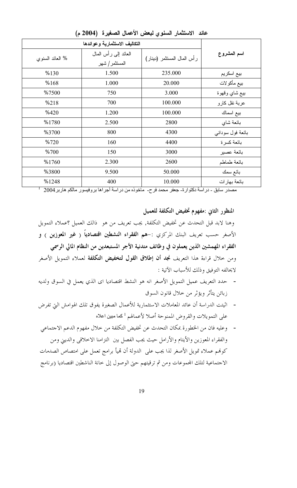| % العائد السنوي | العائد إلىي رأس المال<br>المستثمر/ شهر | رأس المال المستثمر (دينار) | اسم المشروع      |
|-----------------|----------------------------------------|----------------------------|------------------|
| %130            | 1.500                                  | 235.000                    | بيع اسكريم       |
| %168            | 1.000                                  | 20.000                     | بيع مأكولات      |
| %7500           | 750                                    | 3.000                      | بيع شاي وقهوة    |
| %218            | 700                                    | 100.000                    | عربة نقل كارو    |
| %420            | 1.200                                  | 100.000                    | بيع اسماك        |
| %1780           | 2.500                                  | 2800                       | بائعة شاي        |
| %3700           | 800                                    | 4300                       | بائعة فول سوداني |
| %720            | 160                                    | 4400                       | بائعة كسرة       |
| %700            | 150                                    | 3000                       | بائعة عصير       |
| %1760           | 2.300                                  | 2600                       | بائعة طماطم      |
| %3800           | 9.500                                  | 50.000                     | بائع سمك         |
| %1248           | 400                                    | 10.000                     | بائعة بهار ات    |

عائد الاستثمار السنوى لبعض الأعمال الصغيرة (2004 م)

مصدر سابق - دراسة دكتوارة- جعفر محمد فرح- مأخوذه من دراسة أجراها بروفيسور مالكم هاربر 2004 <sup>1</sup>

المنظور الثاني :مفهوم تخفيض التكلفة للعميل وهنا لابد قبل التحدث عن تخفيض التكلفة, يجب تعريف من هو ذالك العميل ؟عملاء التمويل الأصغر حسب تعريف البنك المركزي :-هم الفقراء النشطين اقتصادياً ( غير المعوزين ) و الفقراء المهمشين الذين يعملون في وظائف متدنية الأجر المستبعدين من النظام المالي الرسمي ومن حلال قراءة هذا التعريف نجد أن إطلاق القول لتخفيض التكلفة لعملاء التمويل الأصغر لايحالفه التوفيق وذلك للأسباب الآتية :

- حدد التعريف عميل التمويل الأصغر انه هو النشط اقتصاديا اي الذي يعمل في السوق ولديه زبائن يتأثر ويؤثر من خلال قانون السوق
- اثيتت الدراسة أن عائد المعاملات الاستثمارية للأعمال الصغيرة يفوق تلك الهوامش التي تفرض على التمويلات والقروض الممنوحة أصلا لأعمالهم <sup>1</sup> كما مبين اعلاه

- وعليه فان من الخطورة بمكان التحدث عن تخفيض التكلفة من حلال مفهوم الدعم الاجتماعي والفقراء المعوزين والأيتام والأرامل حيث يجب الفصل بين التزامنا الاخلاقي والديني ومن كوفمم عملاء تمويل الأصغر لذا يجب على الدولة أن قميأ برامج تعمل على امتصاص الصدمات الاحتماعية لتلك المحموعات ومن ثم ترقيتهم حتى الوصول إلى خانة الناشطين اقتصاديا (برنامج